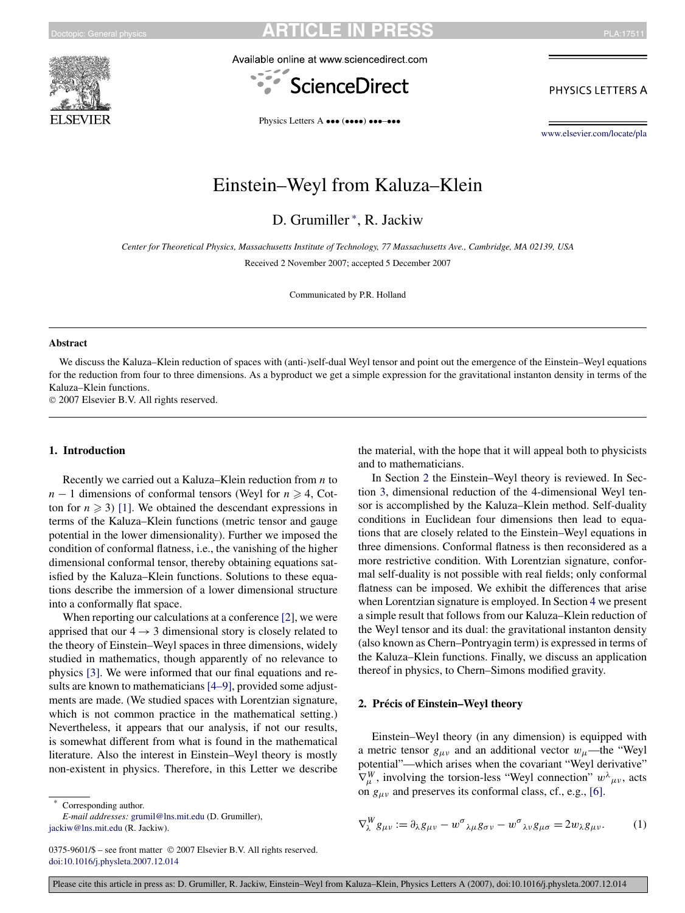<span id="page-0-0"></span>





PHYSICS LETTERS A

Physics Letters A ••• (••••) •••-•••

[www.elsevier.com/locate/pla](http://www.elsevier.com/locate/pla)

# Einstein–Weyl from Kaluza–Klein

D. Grumiller <sup>∗</sup> , R. Jackiw

*Center for Theoretical Physics, Massachusetts Institute of Technology, 77 Massachusetts Ave., Cambridge, MA 02139, USA*

Received 2 November 2007; accepted 5 December 2007

Communicated by P.R. Holland

#### **Abstract**

We discuss the Kaluza–Klein reduction of spaces with (anti-)self-dual Weyl tensor and point out the emergence of the Einstein–Weyl equations for the reduction from four to three dimensions. As a byproduct we get a simple expression for the gravitational instanton density in terms of the Kaluza–Klein functions.

© 2007 Elsevier B.V. All rights reserved.

#### **1. Introduction**

Recently we carried out a Kaluza–Klein reduction from *n* to *n* − 1 dimensions of conformal tensors (Weyl for  $n \ge 4$ , Cotton for  $n \geq 3$ ) [\[1\].](#page-4-0) We obtained the descendant expressions in terms of the Kaluza–Klein functions (metric tensor and gauge potential in the lower dimensionality). Further we imposed the condition of conformal flatness, i.e., the vanishing of the higher dimensional conformal tensor, thereby obtaining equations satisfied by the Kaluza–Klein functions. Solutions to these equations describe the immersion of a lower dimensional structure into a conformally flat space.

When reporting our calculations at a conference [\[2\],](#page-4-0) we were apprised that our  $4 \rightarrow 3$  dimensional story is closely related to the theory of Einstein–Weyl spaces in three dimensions, widely studied in mathematics, though apparently of no relevance to physics [\[3\].](#page-4-0) We were informed that our final equations and re-sults are known to mathematicians [\[4–9\],](#page-4-0) provided some adjustments are made. (We studied spaces with Lorentzian signature, which is not common practice in the mathematical setting.) Nevertheless, it appears that our analysis, if not our results, is somewhat different from what is found in the mathematical literature. Also the interest in Einstein–Weyl theory is mostly non-existent in physics. Therefore, in this Letter we describe

Corresponding author.

*E-mail addresses:* [grumil@lns.mit.edu](mailto:grumil@lns.mit.edu) (D. Grumiller), [jackiw@lns.mit.edu](mailto:jackiw@lns.mit.edu) (R. Jackiw).

the material, with the hope that it will appeal both to physicists and to mathematicians.

In Section 2 the Einstein–Weyl theory is reviewed. In Section [3,](#page-1-0) dimensional reduction of the 4-dimensional Weyl tensor is accomplished by the Kaluza–Klein method. Self-duality conditions in Euclidean four dimensions then lead to equations that are closely related to the Einstein–Weyl equations in three dimensions. Conformal flatness is then reconsidered as a more restrictive condition. With Lorentzian signature, conformal self-duality is not possible with real fields; only conformal flatness can be imposed. We exhibit the differences that arise when Lorentzian signature is employed. In Section [4](#page-2-0) we present a simple result that follows from our Kaluza–Klein reduction of the Weyl tensor and its dual: the gravitational instanton density (also known as Chern–Pontryagin term) is expressed in terms of the Kaluza–Klein functions. Finally, we discuss an application thereof in physics, to Chern–Simons modified gravity.

#### **2. Précis of Einstein–Weyl theory**

Einstein–Weyl theory (in any dimension) is equipped with a metric tensor  $g_{\mu\nu}$  and an additional vector  $w_{\mu}$ —the "Weyl potential"—which arises when the covariant "Weyl derivative"  $\nabla^W_\mu$ , involving the torsion-less "Weyl connection"  $w^\lambda{}_{\mu\nu}$ , acts on *gμν* and preserves its conformal class, cf., e.g., [\[6\].](#page-4-0)

$$
\nabla_{\lambda}^{W} g_{\mu\nu} := \partial_{\lambda} g_{\mu\nu} - w^{\sigma}{}_{\lambda\mu} g_{\sigma\nu} - w^{\sigma}{}_{\lambda\nu} g_{\mu\sigma} = 2w_{\lambda} g_{\mu\nu}.
$$
 (1)

<sup>0375-9601/\$ –</sup> see front matter © 2007 Elsevier B.V. All rights reserved. [doi:10.1016/j.physleta.2007.12.014](http://dx.doi.org/10.1016/j.physleta.2007.12.014)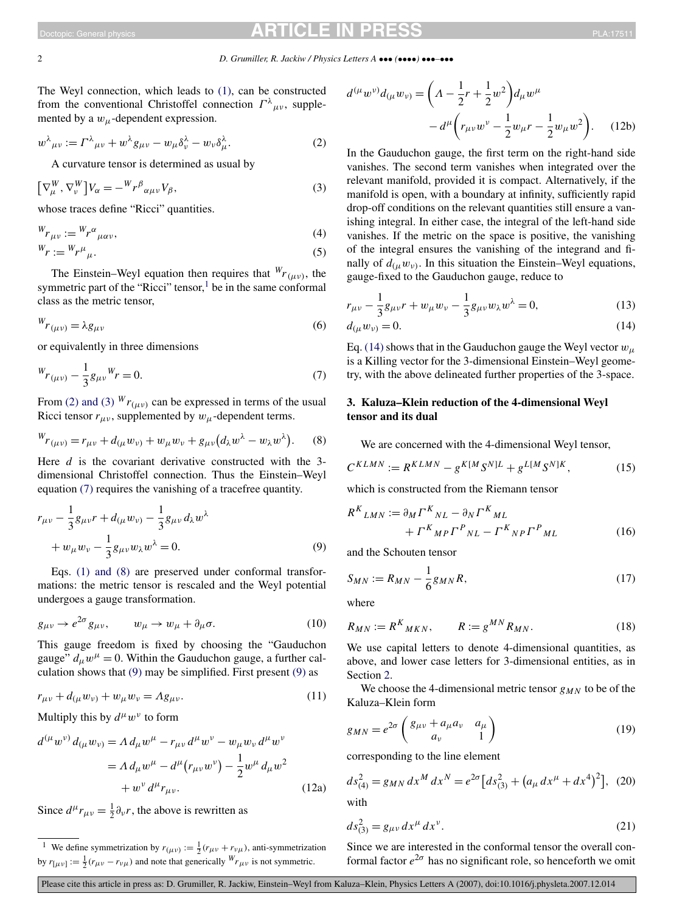<span id="page-1-0"></span>The Weyl connection, which leads to [\(1\),](#page-0-0) can be constructed from the conventional Christoffel connection  $\Gamma^{\lambda}{}_{\mu\nu}$ , supplemented by a  $w_{\mu}$ -dependent expression.

$$
w^{\lambda}{}_{\mu\nu} := \Gamma^{\lambda}{}_{\mu\nu} + w^{\lambda}g_{\mu\nu} - w_{\mu}\delta^{\lambda}_{\nu} - w_{\nu}\delta^{\lambda}_{\mu}.
$$
 (2)

A curvature tensor is determined as usual by

$$
\left[\nabla_{\mu}^{W}, \nabla_{\nu}^{W}\right]V_{\alpha} = -{}^{W}r^{\beta}{}_{\alpha\mu\nu}V_{\beta},\tag{3}
$$

whose traces define "Ricci" quantities.

$$
W_{r \mu \nu} := W_r^{\alpha}{}_{\mu \alpha \nu},\tag{4}
$$

$$
W_r := W_r \mu_\mu. \tag{5}
$$

The Einstein–Weyl equation then requires that  ${}^{W}r_{(\mu\nu)}$ , the symmetric part of the "Ricci" tensor, $\frac{1}{1}$  be in the same conformal class as the metric tensor,

$$
W_{r(\mu\nu)} = \lambda g_{\mu\nu} \tag{6}
$$

or equivalently in three dimensions

$$
W_{r(\mu\nu)} - \frac{1}{3}g_{\mu\nu}W_r = 0.
$$
\n(7)

From (2) and (3)  $^{W}r_{(\mu\nu)}$  can be expressed in terms of the usual Ricci tensor  $r_{\mu\nu}$ , supplemented by  $w_{\mu}$ -dependent terms.

$$
W_{T(\mu\nu)} = r_{\mu\nu} + d_{(\mu}w_{\nu)} + w_{\mu}w_{\nu} + g_{\mu\nu}(d_{\lambda}w^{\lambda} - w_{\lambda}w^{\lambda}).
$$
 (8)

Here *d* is the covariant derivative constructed with the 3dimensional Christoffel connection. Thus the Einstein–Weyl equation (7) requires the vanishing of a tracefree quantity.

$$
r_{\mu\nu} - \frac{1}{3}g_{\mu\nu}r + d_{(\mu}w_{\nu)} - \frac{1}{3}g_{\mu\nu}d_{\lambda}w^{\lambda} + w_{\mu}w_{\nu} - \frac{1}{3}g_{\mu\nu}w_{\lambda}w^{\lambda} = 0.
$$
 (9)

Eqs. [\(1\) and \(8\)](#page-0-0) are preserved under conformal transformations: the metric tensor is rescaled and the Weyl potential undergoes a gauge transformation.

$$
g_{\mu\nu} \to e^{2\sigma} g_{\mu\nu}, \qquad w_{\mu} \to w_{\mu} + \partial_{\mu}\sigma. \tag{10}
$$

This gauge freedom is fixed by choosing the "Gauduchon gauge"  $d_{\mu}w^{\mu} = 0$ . Within the Gauduchon gauge, a further calculation shows that (9) may be simplified. First present (9) as

$$
r_{\mu\nu} + d_{(\mu} w_{\nu)} + w_{\mu} w_{\nu} = \Lambda g_{\mu\nu}.
$$
 (11)

Multiply this by  $d^{\mu}w^{\nu}$  to form

$$
d^{(\mu}w^{\nu)} d_{(\mu}w_{\nu)} = \Lambda d_{\mu}w^{\mu} - r_{\mu\nu}d^{\mu}w^{\nu} - w_{\mu}w_{\nu}d^{\mu}w^{\nu}
$$
  
=  $\Lambda d_{\mu}w^{\mu} - d^{\mu}(r_{\mu\nu}w^{\nu}) - \frac{1}{2}w^{\mu}d_{\mu}w^2$   
+  $w^{\nu}d^{\mu}r_{\mu\nu}$ . (12a)

Since  $d^{\mu}r_{\mu\nu} = \frac{1}{2}\partial_{\nu}r$ , the above is rewritten as

$$
d^{(\mu}w^{\nu)}d_{(\mu}w_{\nu)} = \left(\Lambda - \frac{1}{2}r + \frac{1}{2}w^2\right)d_{\mu}w^{\mu} - d^{\mu}\left(r_{\mu\nu}w^{\nu} - \frac{1}{2}w_{\mu}r - \frac{1}{2}w_{\mu}w^2\right).
$$
 (12b)

In the Gauduchon gauge, the first term on the right-hand side vanishes. The second term vanishes when integrated over the relevant manifold, provided it is compact. Alternatively, if the manifold is open, with a boundary at infinity, sufficiently rapid drop-off conditions on the relevant quantities still ensure a vanishing integral. In either case, the integral of the left-hand side vanishes. If the metric on the space is positive, the vanishing of the integral ensures the vanishing of the integrand and finally of  $d_{(\mu}w_{\nu)}$ . In this situation the Einstein–Weyl equations, gauge-fixed to the Gauduchon gauge, reduce to

$$
r_{\mu\nu} - \frac{1}{3}g_{\mu\nu}r + w_{\mu}w_{\nu} - \frac{1}{3}g_{\mu\nu}w_{\lambda}w^{\lambda} = 0,
$$
 (13)

$$
d_{(\mu}w_{\nu)}=0.\t\t(14)
$$

Eq. (14) shows that in the Gauduchon gauge the Weyl vector  $w_{\mu}$ is a Killing vector for the 3-dimensional Einstein–Weyl geometry, with the above delineated further properties of the 3-space.

### **3. Kaluza–Klein reduction of the 4-dimensional Weyl tensor and its dual**

We are concerned with the 4-dimensional Weyl tensor,

$$
C^{KLMN} := R^{KLMN} - g^{K[M} S^{N)L} + g^{L[M} S^{N]K}, \tag{15}
$$

which is constructed from the Riemann tensor

$$
R^{K}{}_{LMN} := \partial_{M} \Gamma^{K}{}_{NL} - \partial_{N} \Gamma^{K}{}_{ML}
$$

$$
+ \Gamma^{K}{}_{MP} \Gamma^{P}{}_{NL} - \Gamma^{K}{}_{NP} \Gamma^{P}{}_{ML}
$$
(16)

and the Schouten tensor

$$
S_{MN} := R_{MN} - \frac{1}{6} g_{MN} R, \tag{17}
$$

where

$$
R_{MN} := R^K_{MKN}, \qquad R := g^{MN} R_{MN}.
$$
 (18)

We use capital letters to denote 4-dimensional quantities, as above, and lower case letters for 3-dimensional entities, as in Section [2.](#page-0-0)

We choose the 4-dimensional metric tensor  $g_{MN}$  to be of the Kaluza–Klein form

$$
g_{MN} = e^{2\sigma} \begin{pmatrix} g_{\mu\nu} + a_{\mu} a_{\nu} & a_{\mu} \\ a_{\nu} & 1 \end{pmatrix}
$$
 (19)

corresponding to the line element

$$
ds_{(4)}^2 = g_{MN} dx^M dx^N = e^{2\sigma} \left[ ds_{(3)}^2 + \left( a_\mu dx^\mu + dx^4 \right)^2 \right], \tag{20}
$$

with

$$
ds_{(3)}^2 = g_{\mu\nu} dx^{\mu} dx^{\nu}.
$$
 (21)

Since we are interested in the conformal tensor the overall conformal factor  $e^{2\sigma}$  has no significant role, so henceforth we omit

Please cite this article in press as: D. Grumiller, R. Jackiw, Einstein–Weyl from Kaluza–Klein, Physics Letters A (2007), doi:10.1016/j.physleta.2007.12.014

<sup>&</sup>lt;sup>1</sup> We define symmetrization by  $r_{(\mu\nu)} := \frac{1}{2}(r_{\mu\nu} + r_{\nu\mu})$ , anti-symmetrization by  $r_{[\mu\nu]} := \frac{1}{2}(r_{\mu\nu} - r_{\nu\mu})$  and note that generically  ${}^W r_{\mu\nu}$  is not symmetric.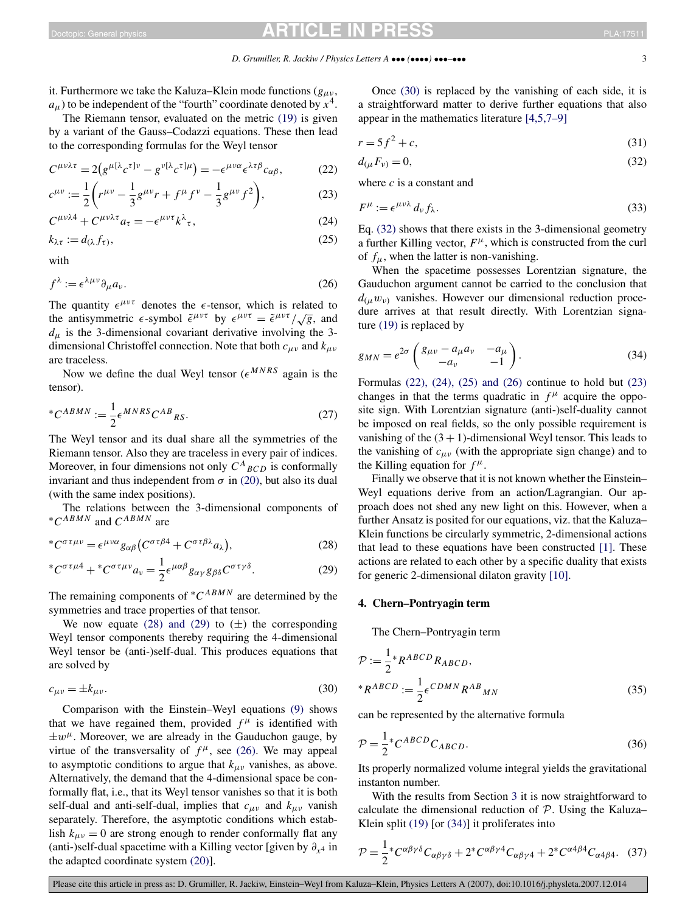<span id="page-2-0"></span>it. Furthermore we take the Kaluza–Klein mode functions (*gμν* ,  $a_{\mu}$ ) to be independent of the "fourth" coordinate denoted by  $x^4$ .

The Riemann tensor, evaluated on the metric [\(19\)](#page-1-0) is given by a variant of the Gauss–Codazzi equations. These then lead to the corresponding formulas for the Weyl tensor

$$
C^{\mu\nu\lambda\tau} = 2(g^{\mu[\lambda}c^{\tau]\nu} - g^{\nu[\lambda}c^{\tau]\mu}) = -\epsilon^{\mu\nu\alpha}\epsilon^{\lambda\tau\beta}c_{\alpha\beta},\tag{22}
$$

$$
c^{\mu\nu} := \frac{1}{2} \left( r^{\mu\nu} - \frac{1}{3} g^{\mu\nu} r + f^{\mu} f^{\nu} - \frac{1}{3} g^{\mu\nu} f^2 \right),\tag{23}
$$

$$
C^{\mu\nu\lambda 4} + C^{\mu\nu\lambda \tau} a_{\tau} = -\epsilon^{\mu\nu\tau} k^{\lambda}{}_{\tau},\tag{24}
$$

$$
k_{\lambda \tau} := d_{(\lambda} f_{\tau)},\tag{25}
$$

with

$$
f^{\lambda} := \epsilon^{\lambda \mu \nu} \partial_{\mu} a_{\nu}.
$$
 (26)

The quantity  $\epsilon^{\mu\nu\tau}$  denotes the  $\epsilon$ -tensor, which is related to the antisymmetric  $\epsilon$ -symbol  $\tilde{\epsilon}^{\mu\nu\tau}$  by  $\epsilon^{\mu\nu\tau} = \tilde{\epsilon}^{\mu\nu\tau}/\sqrt{g}$ , and  $d_{\mu}$  is the 3-dimensional covariant derivative involving the 3dimensional Christoffel connection. Note that both *cμν* and *kμν* are traceless.

Now we define the dual Weyl tensor  $(e^{MNRS})$  again is the tensor).

$$
^*C^{ABMN} := \frac{1}{2} \epsilon^{MNRS} C^{AB}{}_{RS}.
$$
 (27)

The Weyl tensor and its dual share all the symmetries of the Riemann tensor. Also they are traceless in every pair of indices. Moreover, in four dimensions not only  $C^A{}_{BCD}$  is conformally invariant and thus independent from  $\sigma$  in [\(20\),](#page-1-0) but also its dual (with the same index positions).

The relations between the 3-dimensional components of <sup>∗</sup>*CABMN* and *CABMN* are

$$
{}^*C^{\sigma\tau\mu\nu} = \epsilon^{\mu\nu\alpha} g_{\alpha\beta} \big( C^{\sigma\tau\beta} + C^{\sigma\tau\beta\lambda} a_{\lambda} \big), \tag{28}
$$

$$
{}^{*}C^{\sigma\tau\mu4} + {}^{*}C^{\sigma\tau\mu\nu}a_{\nu} = \frac{1}{2}\epsilon^{\mu\alpha\beta}g_{\alpha\gamma}g_{\beta\delta}C^{\sigma\tau\gamma\delta}.
$$
 (29)

The remaining components of <sup>∗</sup>*CABMN* are determined by the symmetries and trace properties of that tensor.

We now equate (28) and (29) to  $(\pm)$  the corresponding Weyl tensor components thereby requiring the 4-dimensional Weyl tensor be (anti-)self-dual. This produces equations that are solved by

$$
c_{\mu\nu} = \pm k_{\mu\nu}.\tag{30}
$$

Comparison with the Einstein–Weyl equations [\(9\)](#page-1-0) shows that we have regained them, provided  $f^{\mu}$  is identified with  $\pm w^{\mu}$ . Moreover, we are already in the Gauduchon gauge, by virtue of the transversality of  $f^{\mu}$ , see (26). We may appeal to asymptotic conditions to argue that  $k_{\mu\nu}$  vanishes, as above. Alternatively, the demand that the 4-dimensional space be conformally flat, i.e., that its Weyl tensor vanishes so that it is both self-dual and anti-self-dual, implies that  $c_{\mu\nu}$  and  $k_{\mu\nu}$  vanish separately. Therefore, the asymptotic conditions which establish  $k_{\mu\nu} = 0$  are strong enough to render conformally flat any (anti-)self-dual spacetime with a Killing vector [given by  $\partial_{x^4}$  in the adapted coordinate system [\(20\)\]](#page-1-0).

Once (30) is replaced by the vanishing of each side, it is a straightforward matter to derive further equations that also appear in the mathematics literature [\[4,5,7–9\]](#page-4-0)

$$
r = 5f^2 + c,\tag{31}
$$

$$
d_{(\mu}F_{\nu)}=0,\t\t(32)
$$

where *c* is a constant and

$$
F^{\mu} := \epsilon^{\mu\nu\lambda} d_{\nu} f_{\lambda}.
$$
 (33)

Eq. (32) shows that there exists in the 3-dimensional geometry a further Killing vector,  $F^{\mu}$ , which is constructed from the curl of  $f_{\mu}$ , when the latter is non-vanishing.

When the spacetime possesses Lorentzian signature, the Gauduchon argument cannot be carried to the conclusion that  $d(\mu w_{\nu})$  vanishes. However our dimensional reduction procedure arrives at that result directly. With Lorentzian signature [\(19\)](#page-1-0) is replaced by

$$
g_{MN} = e^{2\sigma} \begin{pmatrix} g_{\mu\nu} - a_{\mu} a_{\nu} & -a_{\mu} \\ -a_{\nu} & -1 \end{pmatrix}.
$$
 (34)

Formulas  $(22)$ ,  $(24)$ ,  $(25)$  and  $(26)$  continue to hold but  $(23)$ changes in that the terms quadratic in  $f^{\mu}$  acquire the opposite sign. With Lorentzian signature (anti-)self-duality cannot be imposed on real fields, so the only possible requirement is vanishing of the  $(3 + 1)$ -dimensional Weyl tensor. This leads to the vanishing of  $c_{\mu\nu}$  (with the appropriate sign change) and to the Killing equation for  $f^{\mu}$ .

Finally we observe that it is not known whether the Einstein– Weyl equations derive from an action/Lagrangian. Our approach does not shed any new light on this. However, when a further Ansatz is posited for our equations, viz. that the Kaluza– Klein functions be circularly symmetric, 2-dimensional actions that lead to these equations have been constructed [\[1\].](#page-4-0) These actions are related to each other by a specific duality that exists for generic 2-dimensional dilaton gravity [\[10\].](#page-4-0)

#### **4. Chern–Pontryagin term**

The Chern–Pontryagin term

$$
\mathcal{P} := \frac{1}{2} * R^{ABCD} R_{ABCD},
$$
  

$$
* R^{ABCD} := \frac{1}{2} \epsilon^{CDMN} R^{AB}{}_{MN}
$$
 (35)

can be represented by the alternative formula

$$
\mathcal{P} = \frac{1}{2} \, ^*C^{ABCD} C_{ABCD} \tag{36}
$$

Its properly normalized volume integral yields the gravitational instanton number.

With the results from Section [3](#page-1-0) it is now straightforward to calculate the dimensional reduction of  $P$ . Using the Kaluza– Klein split [\(19\)](#page-1-0) [or (34)] it proliferates into

$$
\mathcal{P} = \frac{1}{2} \varepsilon^{c\alpha\beta\gamma\delta} C_{\alpha\beta\gamma\delta} + 2 \varepsilon^{c\alpha\beta\gamma\delta} C_{\alpha\beta\gamma\delta} + 2 \varepsilon^{c\alpha\beta\beta\delta} C_{\alpha\delta\beta\delta}.
$$
 (37)

Please cite this article in press as: D. Grumiller, R. Jackiw, Einstein–Weyl from Kaluza–Klein, Physics Letters A (2007), doi:10.1016/j.physleta.2007.12.014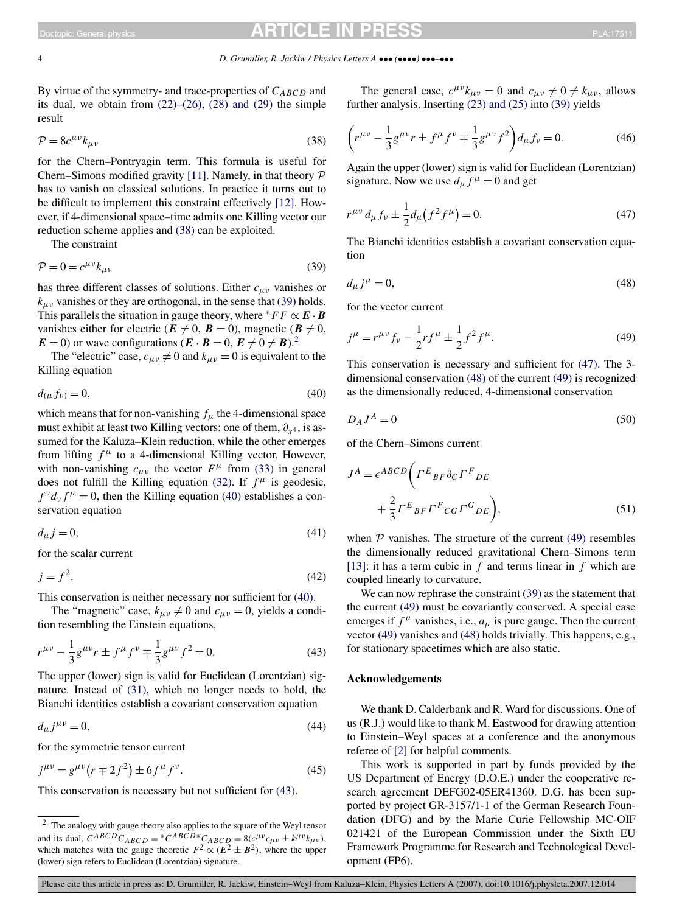By virtue of the symmetry- and trace-properties of *CABCD* and its dual, we obtain from  $(22)$ – $(26)$ ,  $(28)$  and  $(29)$  the simple result

$$
\mathcal{P} = 8c^{\mu\nu}k_{\mu\nu} \tag{38}
$$

for the Chern–Pontryagin term. This formula is useful for Chern–Simons modified gravity [\[11\].](#page-4-0) Namely, in that theory  $P$ has to vanish on classical solutions. In practice it turns out to be difficult to implement this constraint effectively [\[12\].](#page-4-0) However, if 4-dimensional space–time admits one Killing vector our reduction scheme applies and (38) can be exploited.

The constraint

$$
\mathcal{P} = 0 = c^{\mu\nu} k_{\mu\nu} \tag{39}
$$

has three different classes of solutions. Either *cμν* vanishes or  $k_{\mu\nu}$  vanishes or they are orthogonal, in the sense that (39) holds. This parallels the situation in gauge theory, where  $*FF \propto E \cdot B$ vanishes either for electric ( $\mathbf{E} \neq 0$ ,  $\mathbf{B} = 0$ ), magnetic ( $\mathbf{B} \neq 0$ ,  $E = 0$ ) or wave configurations  $(E \cdot B = 0, E \neq 0 \neq B)$ .<sup>2</sup>

The "electric" case,  $c_{\mu\nu} \neq 0$  and  $k_{\mu\nu} = 0$  is equivalent to the Killing equation

$$
d_{(\mu}f_{\nu)}=0,\t\t(40)
$$

which means that for non-vanishing  $f_{\mu}$  the 4-dimensional space must exhibit at least two Killing vectors: one of them,  $\partial_{x^4}$ , is assumed for the Kaluza–Klein reduction, while the other emerges from lifting  $f^{\mu}$  to a 4-dimensional Killing vector. However, with non-vanishing  $c_{\mu\nu}$  the vector  $F^{\mu}$  from [\(33\)](#page-2-0) in general does not fulfill the Killing equation [\(32\).](#page-2-0) If  $f^{\mu}$  is geodesic,  $f^{\nu}d_{\nu}f^{\mu}=0$ , then the Killing equation (40) establishes a conservation equation

$$
d_{\mu}j = 0,\tag{41}
$$

for the scalar current

$$
j = f^2. \tag{42}
$$

This conservation is neither necessary nor sufficient for (40).

The "magnetic" case,  $k_{\mu\nu} \neq 0$  and  $c_{\mu\nu} = 0$ , yields a condition resembling the Einstein equations,

$$
r^{\mu\nu} - \frac{1}{3}g^{\mu\nu}r \pm f^{\mu}f^{\nu} \mp \frac{1}{3}g^{\mu\nu}f^{2} = 0.
$$
 (43)

The upper (lower) sign is valid for Euclidean (Lorentzian) signature. Instead of [\(31\),](#page-2-0) which no longer needs to hold, the Bianchi identities establish a covariant conservation equation

$$
d_{\mu}j^{\mu\nu}=0,\t\t(44)
$$

for the symmetric tensor current

$$
j^{\mu\nu} = g^{\mu\nu} (r \mp 2f^2) \pm 6f^{\mu} f^{\nu}.
$$
 (45)

This conservation is necessary but not sufficient for (43).

The general case,  $c^{\mu\nu}k_{\mu\nu} = 0$  and  $c_{\mu\nu} \neq 0 \neq k_{\mu\nu}$ , allows further analysis. Inserting [\(23\) and \(25\)](#page-2-0) into (39) yields

$$
\left(r^{\mu\nu} - \frac{1}{3}g^{\mu\nu}r \pm f^{\mu}f^{\nu} \mp \frac{1}{3}g^{\mu\nu}f^{2}\right) d_{\mu}f_{\nu} = 0.
$$
 (46)

Again the upper (lower) sign is valid for Euclidean (Lorentzian) signature. Now we use  $d_{\mu} f^{\mu} = 0$  and get

$$
r^{\mu\nu} d_{\mu} f_{\nu} \pm \frac{1}{2} d_{\mu} (f^2 f^{\mu}) = 0.
$$
 (47)

The Bianchi identities establish a covariant conservation equation

$$
d_{\mu}j^{\mu}=0,\t\t(48)
$$

for the vector current

$$
j^{\mu} = r^{\mu\nu} f_{\nu} - \frac{1}{2} r f^{\mu} \pm \frac{1}{2} f^2 f^{\mu}.
$$
 (49)

This conservation is necessary and sufficient for (47). The 3 dimensional conservation (48) of the current (49) is recognized as the dimensionally reduced, 4-dimensional conservation

$$
D_A J^A = 0 \tag{50}
$$

of the Chern–Simons current

$$
J^{A} = \epsilon^{ABCD} \bigg( \Gamma^{E}{}_{BF} \partial_C \Gamma^{F}{}_{DE} + \frac{2}{3} \Gamma^{E}{}_{BF} \Gamma^{F}{}_{CG} \Gamma^{G}{}_{DE} \bigg),
$$
 (51)

when  $P$  vanishes. The structure of the current (49) resembles the dimensionally reduced gravitational Chern–Simons term [\[13\]:](#page-4-0) it has a term cubic in *f* and terms linear in *f* which are coupled linearly to curvature.

We can now rephrase the constraint (39) as the statement that the current (49) must be covariantly conserved. A special case emerges if  $f^{\mu}$  vanishes, i.e.,  $a_{\mu}$  is pure gauge. Then the current vector (49) vanishes and (48) holds trivially. This happens, e.g., for stationary spacetimes which are also static.

#### **Acknowledgements**

We thank D. Calderbank and R. Ward for discussions. One of us (R.J.) would like to thank M. Eastwood for drawing attention to Einstein–Weyl spaces at a conference and the anonymous referee of [\[2\]](#page-4-0) for helpful comments.

This work is supported in part by funds provided by the US Department of Energy (D.O.E.) under the cooperative research agreement DEFG02-05ER41360. D.G. has been supported by project GR-3157/1-1 of the German Research Foundation (DFG) and by the Marie Curie Fellowship MC-OIF 021421 of the European Commission under the Sixth EU Framework Programme for Research and Technological Development (FP6).

Please cite this article in press as: D. Grumiller, R. Jackiw, Einstein–Weyl from Kaluza–Klein, Physics Letters A (2007), doi:10.1016/j.physleta.2007.12.014

<sup>&</sup>lt;sup>2</sup> The analogy with gauge theory also applies to the square of the Weyl tensor and its dual,  $C^{ABCD}C_{ABCD} = {}^*C^{ABCD} {}^*C_{ABCD} = 8(c^{\mu\nu}c_{\mu\nu} \pm k^{\mu\nu}k_{\mu\nu}),$ which matches with the gauge theoretic  $F^2 \propto (\vec{E}^2 \pm \vec{B}^2)$ , where the upper (lower) sign refers to Euclidean (Lorentzian) signature.